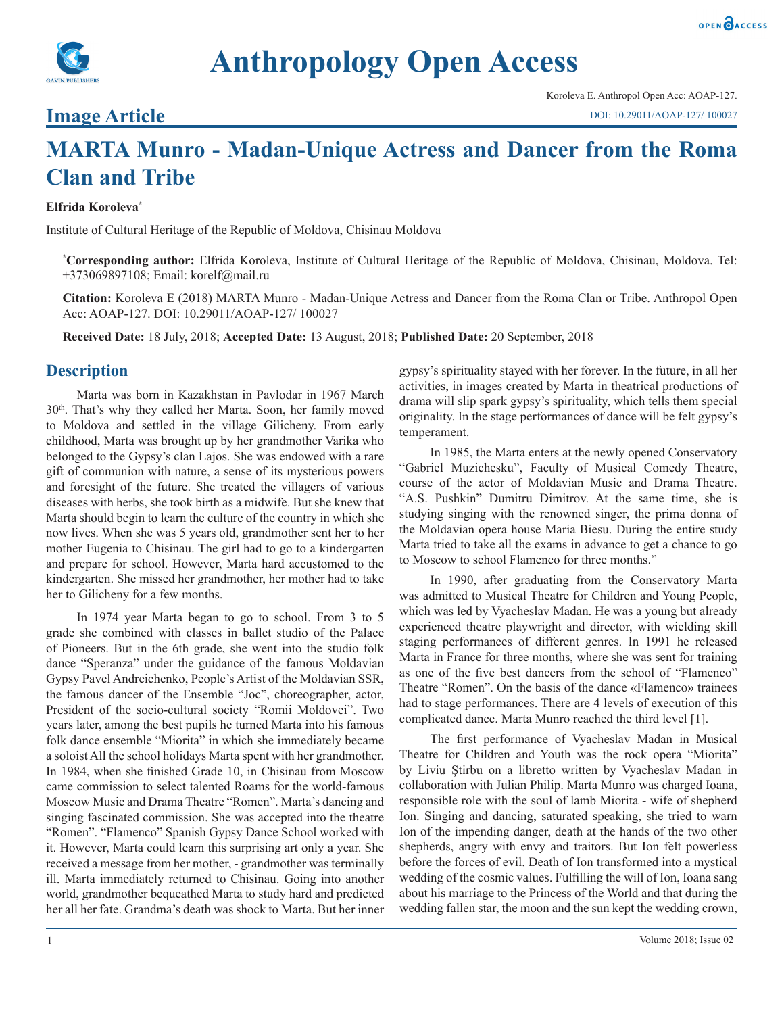

# **Anthropology Open Access**

### **Image Article**

## **MARTA Munro - Madan-Unique Actress and Dancer from the Roma Clan and Tribe**

#### **Elfrida Koroleva\***

Institute of Cultural Heritage of the Republic of Moldova, Chisinau Moldova

**\* Corresponding author:** Elfrida Koroleva, Institute of Cultural Heritage of the Republic of Moldova, Chisinau, Moldova. Tel: +373069897108; Email: korelf@mail.ru

**Citation:** Koroleva E (2018) MARTA Munro - Madan-Unique Actress and Dancer from the Roma Clan or Tribe. Anthropol Open Acc: AOAP-127. DOI: 10.29011/AOAP-127/ 100027

**Received Date:** 18 July, 2018; **Accepted Date:** 13 August, 2018; **Published Date:** 20 September, 2018

#### **Description**

Marta was born in Kazakhstan in Pavlodar in 1967 March 30th. That's why they called her Marta. Soon, her family moved to Moldova and settled in the village Gilicheny. From early childhood, Marta was brought up by her grandmother Varika who belonged to the Gypsy's clan Lajos. She was endowed with a rare gift of communion with nature, a sense of its mysterious powers and foresight of the future. She treated the villagers of various diseases with herbs, she took birth as a midwife. But she knew that Marta should begin to learn the culture of the country in which she now lives. When she was 5 years old, grandmother sent her to her mother Eugenia to Chisinau. The girl had to go to a kindergarten and prepare for school. However, Marta hard accustomed to the kindergarten. She missed her grandmother, her mother had to take her to Gilicheny for a few months.

In 1974 year Marta began to go to school. From 3 to 5 grade she combined with classes in ballet studio of the Palace of Pioneers. But in the 6th grade, she went into the studio folk dance "Speranza" under the guidance of the famous Moldavian Gypsy Pavel Andreichenko, People's Artist of the Moldavian SSR, the famous dancer of the Ensemble "Joc", choreographer, actor, President of the socio-cultural society "Romii Moldovei". Two years later, among the best pupils he turned Marta into his famous folk dance ensemble "Miorita" in which she immediately became a soloist All the school holidays Marta spent with her grandmother. In 1984, when she finished Grade 10, in Chisinau from Moscow came commission to select talented Roams for the world-famous Moscow Music and Drama Theatre "Romen". Marta's dancing and singing fascinated commission. She was accepted into the theatre "Romen". "Flamenco" Spanish Gypsy Dance School worked with it. However, Marta could learn this surprising art only a year. She received a message from her mother, - grandmother was terminally ill. Marta immediately returned to Chisinau. Going into another world, grandmother bequeathed Marta to study hard and predicted her all her fate. Grandma's death was shock to Marta. But her inner

gypsy's spirituality stayed with her forever. In the future, in all her activities, in images created by Marta in theatrical productions of drama will slip spark gypsy's spirituality, which tells them special originality. In the stage performances of dance will be felt gypsy's temperament.

In 1985, the Marta enters at the newly opened Conservatory "Gabriel Muzichesku", Faculty of Musical Comedy Theatre, course of the actor of Moldavian Music and Drama Theatre. "A.S. Pushkin" Dumitru Dimitrov. At the same time, she is studying singing with the renowned singer, the prima donna of the Moldavian opera house Maria Biesu. During the entire study Marta tried to take all the exams in advance to get a chance to go to Moscow to school Flamenco for three months."

In 1990, after graduating from the Conservatory Marta was admitted to Musical Theatre for Children and Young People, which was led by Vyacheslav Madan. He was a young but already experienced theatre playwright and director, with wielding skill staging performances of different genres. In 1991 he released Marta in France for three months, where she was sent for training as one of the five best dancers from the school of "Flamenco" Theatre "Romen". On the basis of the dance «Flamenco» trainees had to stage performances. There are 4 levels of execution of this complicated dance. Marta Munro reached the third level [1].

The first performance of Vyacheslav Madan in Musical Theatre for Children and Youth was the rock opera "Miorita" by Liviu Ştirbu on a libretto written by Vyacheslav Madan in collaboration with Julian Philip. Marta Munro was charged Ioana, responsible role with the soul of lamb Miorita - wife of shepherd Ion. Singing and dancing, saturated speaking, she tried to warn Ion of the impending danger, death at the hands of the two other shepherds, angry with envy and traitors. But Ion felt powerless before the forces of evil. Death of Ion transformed into a mystical wedding of the cosmic values. Fulfilling the will of Ion, Ioana sang about his marriage to the Princess of the World and that during the wedding fallen star, the moon and the sun kept the wedding crown,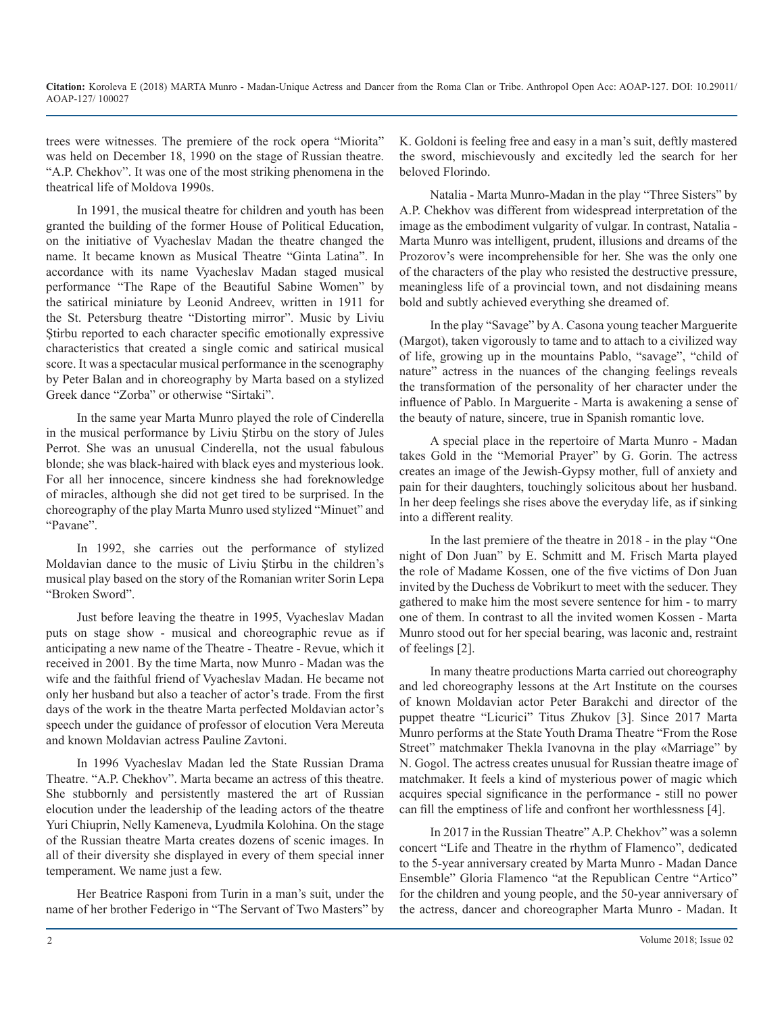trees were witnesses. The premiere of the rock opera "Miorita" was held on December 18, 1990 on the stage of Russian theatre. "A.P. Chekhov". It was one of the most striking phenomena in the theatrical life of Moldova 1990s.

In 1991, the musical theatre for children and youth has been granted the building of the former House of Political Education, on the initiative of Vyacheslav Madan the theatre changed the name. It became known as Musical Theatre "Ginta Latina". In accordance with its name Vyacheslav Madan staged musical performance "The Rape of the Beautiful Sabine Women" by the satirical miniature by Leonid Andreev, written in 1911 for the St. Petersburg theatre "Distorting mirror". Music by Liviu Stirbu reported to each character specific emotionally expressive characteristics that created a single comic and satirical musical score. It was a spectacular musical performance in the scenography by Peter Balan and in choreography by Marta based on a stylized Greek dance "Zorba" or otherwise "Sirtaki".

In the same year Marta Munro played the role of Cinderella in the musical performance by Liviu Ştirbu on the story of Jules Perrot. She was an unusual Cinderella, not the usual fabulous blonde; she was black-haired with black eyes and mysterious look. For all her innocence, sincere kindness she had foreknowledge of miracles, although she did not get tired to be surprised. In the choreography of the play Marta Munro used stylized "Minuet" and "Pavane".

In 1992, she carries out the performance of stylized Moldavian dance to the music of Liviu Ştirbu in the children's musical play based on the story of the Romanian writer Sorin Lepa "Broken Sword".

Just before leaving the theatre in 1995, Vyacheslav Madan puts on stage show - musical and choreographic revue as if anticipating a new name of the Theatre - Theatre - Revue, which it received in 2001. By the time Marta, now Munro - Madan was the wife and the faithful friend of Vyacheslav Madan. He became not only her husband but also a teacher of actor's trade. From the first days of the work in the theatre Marta perfected Moldavian actor's speech under the guidance of professor of elocution Vera Mereuta and known Moldavian actress Pauline Zavtoni.

In 1996 Vyacheslav Madan led the State Russian Drama Theatre. "A.P. Chekhov". Marta became an actress of this theatre. She stubbornly and persistently mastered the art of Russian elocution under the leadership of the leading actors of the theatre Yuri Chiuprin, Nelly Kameneva, Lyudmila Kolohina. On the stage of the Russian theatre Marta creates dozens of scenic images. In all of their diversity she displayed in every of them special inner temperament. We name just a few.

Her Beatrice Rasponi from Turin in a man's suit, under the name of her brother Federigo in "The Servant of Two Masters" by

K. Goldoni is feeling free and easy in a man's suit, deftly mastered the sword, mischievously and excitedly led the search for her beloved Florindo.

Natalia - Marta Munro-Madan in the play "Three Sisters" by A.P. Chekhov was different from widespread interpretation of the image as the embodiment vulgarity of vulgar. In contrast, Natalia - Marta Munro was intelligent, prudent, illusions and dreams of the Prozorov's were incomprehensible for her. She was the only one of the characters of the play who resisted the destructive pressure, meaningless life of a provincial town, and not disdaining means bold and subtly achieved everything she dreamed of.

In the play "Savage" by A. Casona young teacher Marguerite (Margot), taken vigorously to tame and to attach to a civilized way of life, growing up in the mountains Pablo, "savage", "child of nature" actress in the nuances of the changing feelings reveals the transformation of the personality of her character under the influence of Pablo. In Marguerite - Marta is awakening a sense of the beauty of nature, sincere, true in Spanish romantic love.

A special place in the repertoire of Marta Munro - Madan takes Gold in the "Memorial Prayer" by G. Gorin. The actress creates an image of the Jewish-Gypsy mother, full of anxiety and pain for their daughters, touchingly solicitous about her husband. In her deep feelings she rises above the everyday life, as if sinking into a different reality.

In the last premiere of the theatre in 2018 - in the play "One night of Don Juan" by E. Schmitt and M. Frisch Marta played the role of Madame Kossen, one of the five victims of Don Juan invited by the Duchess de Vobrikurt to meet with the seducer. They gathered to make him the most severe sentence for him - to marry one of them. In contrast to all the invited women Kossen - Marta Munro stood out for her special bearing, was laconic and, restraint of feelings [2].

In many theatre productions Marta carried out choreography and led choreography lessons at the Art Institute on the courses of known Moldavian actor Peter Barakchi and director of the puppet theatre "Licurici" Titus Zhukov [3]. Since 2017 Marta Munro performs at the State Youth Drama Theatre "From the Rose Street" matchmaker Thekla Ivanovna in the play «Marriage" by N. Gogol. The actress creates unusual for Russian theatre image of matchmaker. It feels a kind of mysterious power of magic which acquires special significance in the performance - still no power can fill the emptiness of life and confront her worthlessness [4].

In 2017 in the Russian Theatre" A.P. Chekhov" was a solemn concert "Life and Theatre in the rhythm of Flamenco", dedicated to the 5-year anniversary created by Marta Munro - Madan Dance Ensemble" Gloria Flamenco "at the Republican Centre "Artico" for the children and young people, and the 50-year anniversary of the actress, dancer and choreographer Marta Munro - Madan. It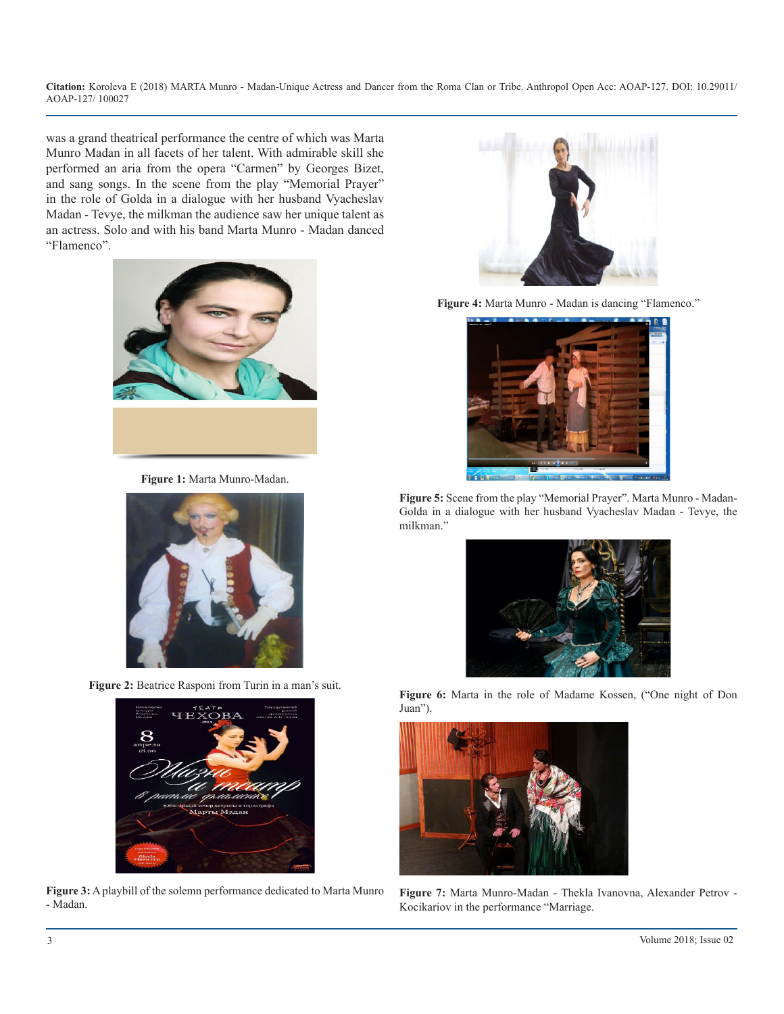**Citation:** Koroleva E (2018) MARTA Munro - Madan-Unique Actress and Dancer from the Roma Clan or Tribe. Anthropol Open Acc: AOAP-127. DOI: 10.29011/ AOAP-127/ 100027

was a grand theatrical performance the centre of which was Marta Munro Madan in all facets of her talent. With admirable skill she performed an aria from the opera "Carmen" by Georges Bizet, and sang songs. In the scene from the play "Memorial Prayer" in the role of Golda in a dialogue with her husband Vyacheslav Madan - Tevye, the milkman the audience saw her unique talent as an actress. Solo and with his band Marta Munro - Madan danced "Flamenco".



**Figure 1:** Marta Munro-Madan.



**Figure 2:** Beatrice Rasponi from Turin in a man's suit.



**Figure 3:** A playbill of the solemn performance dedicated to Marta Munro - Madan.



**Figure 4:** Marta Munro - Madan is dancing "Flamenco."



**Figure 5:** Scene from the play "Memorial Prayer". Marta Munro - Madan-Golda in a dialogue with her husband Vyacheslav Madan - Tevye, the milkman."



**Figure 6:** Marta in the role of Madame Kossen, ("One night of Don Juan").



**Figure 7:** Marta Munro-Madan - Thekla Ivanovna, Alexander Petrov - Kocikariov in the performance "Marriage.